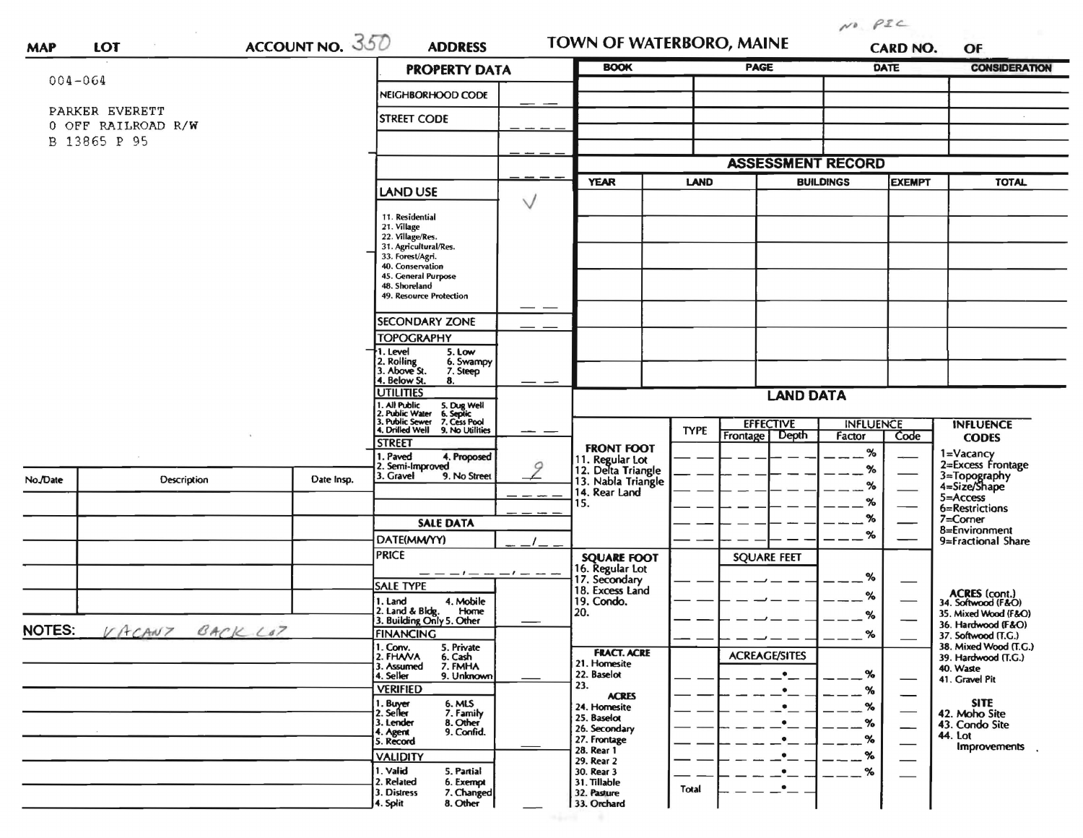|                                    |                    |                                         | <b>PROPERTY DATA</b>                                                              | <b>BOOK</b>                           |                                       | <b>PAGE</b>              |                                              | <b>DATE</b>                | <b>CONSIDERATION</b>           |                                           |
|------------------------------------|--------------------|-----------------------------------------|-----------------------------------------------------------------------------------|---------------------------------------|---------------------------------------|--------------------------|----------------------------------------------|----------------------------|--------------------------------|-------------------------------------------|
| $004 - 064$                        |                    |                                         | NEIGHBORHOOD CODE                                                                 |                                       |                                       |                          |                                              |                            |                                |                                           |
|                                    | PARKER EVERETT     | <b>STREET CODE</b>                      |                                                                                   |                                       |                                       |                          |                                              |                            |                                |                                           |
| 0 OFF RAILROAD R/W<br>B 13865 P 95 |                    |                                         |                                                                                   |                                       |                                       |                          |                                              |                            |                                |                                           |
|                                    |                    |                                         |                                                                                   |                                       |                                       | <b>ASSESSMENT RECORD</b> |                                              |                            |                                |                                           |
|                                    |                    |                                         |                                                                                   |                                       | <b>YEAR</b>                           | <b>LAND</b>              | <b>BUILDINGS</b>                             |                            | <b>EXEMPT</b>                  | <b>TOTAL</b>                              |
|                                    |                    |                                         | <b>LAND USE</b>                                                                   | $\vee$                                |                                       |                          |                                              |                            |                                |                                           |
|                                    |                    |                                         | 11. Residential<br>21. Village                                                    |                                       |                                       |                          |                                              |                            |                                |                                           |
|                                    |                    |                                         | 22. Village/Res.<br>31. Agricultural/Res.                                         |                                       |                                       |                          |                                              |                            |                                |                                           |
|                                    |                    |                                         | 33. Forest/Agri.                                                                  |                                       |                                       |                          |                                              |                            |                                |                                           |
|                                    |                    |                                         | 40. Conservation<br>45. General Purpose                                           |                                       |                                       |                          |                                              |                            |                                |                                           |
|                                    |                    |                                         | 48. Shoreland<br>49. Resource Protection                                          |                                       |                                       |                          |                                              |                            |                                |                                           |
|                                    |                    |                                         | <b>SECONDARY ZONE</b>                                                             |                                       |                                       |                          |                                              |                            |                                |                                           |
|                                    |                    |                                         | <b>TOPOGRAPHY</b>                                                                 |                                       |                                       |                          |                                              |                            |                                |                                           |
|                                    |                    |                                         | 1. Level<br>5. Low                                                                |                                       |                                       |                          |                                              |                            |                                |                                           |
|                                    |                    |                                         | 2. Rolling<br>3. Above St.<br>6. Swampy<br>7. Steep                               |                                       |                                       |                          |                                              |                            |                                |                                           |
|                                    |                    |                                         | 4. Below St.<br>8.<br><b>UTILITIES</b>                                            | <b>LAND DATA</b>                      |                                       |                          |                                              |                            |                                |                                           |
|                                    |                    |                                         | . All Public<br>. Public Water<br>5. Dug Well<br>6. Septic                        |                                       |                                       |                          |                                              |                            |                                |                                           |
|                                    |                    |                                         | Public Sewer 7. Cess Pool<br>4. Drilled Well 9. No Utilities                      |                                       |                                       | <b>TYPE</b>              | <b>EFFECTIVE</b><br>Depth<br><b>Frontage</b> | <b>INFLUENCE</b><br>Factor | Code                           | <b>INFLUENCE</b>                          |
|                                    |                    |                                         | <b>STREET</b>                                                                     |                                       | <b>FRONT FOOT</b>                     |                          |                                              | $\%$                       |                                | <b>CODES</b>                              |
|                                    |                    | . Paved<br>4. Proposed<br>Semi-Improved | 9                                                                                 | 11. Regular Lot<br>12. Delta Triangle |                                       |                          | $\%$                                         |                            | 1=Vacancy<br>2=Excess Frontage |                                           |
| No./Date                           | <b>Description</b> | Date Insp.                              | 3. Gravel<br>9. No Street                                                         |                                       | 13. Nabla Triangle                    |                          |                                              | %                          |                                | 3=Topography<br>4=Size/Shape              |
|                                    |                    |                                         |                                                                                   |                                       | 14. Rear Land<br>15.                  |                          |                                              | %                          |                                | 5=Access<br>6=Restrictions                |
|                                    |                    |                                         | <b>SALE DATA</b>                                                                  |                                       |                                       |                          |                                              | %                          |                                | 7=Corner                                  |
|                                    |                    |                                         | DATE(MM/YY)                                                                       |                                       |                                       |                          |                                              | %                          |                                | 8=Environment<br>9=Fractional Share       |
|                                    |                    |                                         | <b>PRICE</b>                                                                      |                                       | <b>SQUARE FOOT</b><br>16. Regular Lot |                          | <b>SQUARE FEET</b>                           |                            |                                |                                           |
|                                    |                    |                                         |                                                                                   |                                       | 17. Secondary                         |                          |                                              | %                          |                                |                                           |
|                                    |                    |                                         | <b>SALE TYPE</b>                                                                  |                                       | 18. Excess Land                       |                          |                                              | %                          |                                | ACRES (cont.)<br>34. Softwood (F&O)       |
|                                    |                    |                                         | 1. Land<br>4. Mobile<br>2. Land & Bldg. Home<br>3. Building Only 5. Other<br>Home |                                       | 19. Condo.<br>20.                     |                          |                                              | %                          |                                | 35. Mixed Wood (F&O)                      |
| NOTES:<br>VACANT<br>BACK LOT       |                    |                                         | <b>FINANCING</b>                                                                  |                                       |                                       |                          |                                              | $\%$                       |                                | 36. Hardwood (F&O)<br>37. Softwood (T.G.) |
|                                    |                    |                                         | 1. Conv.<br>5. Private                                                            |                                       | <b>FRACT. ACRE</b>                    |                          |                                              |                            |                                | 38. Mixed Wood (T.G.)                     |
|                                    |                    |                                         | 2. FHAVA<br>6. Cash<br>3. Assumed<br>7. FMHA                                      |                                       | 21. Homesite                          |                          | <b>ACREAGE/SITES</b>                         |                            |                                | 39. Hardwood (T.G.)<br>40. Waste          |
|                                    |                    |                                         | 9. Unknown<br>4. Seller<br><b>VERIFIED</b>                                        |                                       | 22. Baselot<br>23.                    |                          | $\bullet$                                    | %                          |                                | 41. Gravel Pit                            |
|                                    |                    |                                         | 6. MLS                                                                            |                                       | <b>ACRES</b>                          |                          | $\bullet$<br>$\bullet$                       | %<br>$\%$                  | --                             | <b>SITE</b>                               |
|                                    |                    |                                         | 1. Buyer<br>2. Seller<br>7. Family<br>8. Other<br>3. Lender                       |                                       | 24. Homesite<br>25. Baselot           |                          | $\bullet$                                    | $\%$                       |                                | 42. Moho Site<br>43. Condo Site           |
|                                    |                    |                                         | 9. Confid.<br>4. Agent<br>5. Record                                               |                                       | 26. Secondary<br>27. Frontage         |                          | $\bullet$                                    | $\%$                       | —                              | 44. Lot                                   |
|                                    |                    |                                         | <b>VALIDITY</b>                                                                   |                                       | 28. Rear 1                            |                          | $\cdot$ –                                    | $\%$                       |                                | Improvements                              |
|                                    |                    |                                         | 1. Valid<br>5. Partial                                                            |                                       | 29. Rear 2<br>30. Rear 3              |                          | $\cdot$                                      | %                          |                                |                                           |
|                                    |                    |                                         | 2. Related<br>6. Exempt<br>3. Distress<br>7. Changed                              |                                       | 31. Tillable<br>32. Pasture           | Total                    | $\cdot$ –                                    |                            |                                |                                           |
|                                    |                    |                                         | 8. Other<br>4. Split                                                              |                                       | 33. Orchard                           |                          |                                              |                            |                                |                                           |